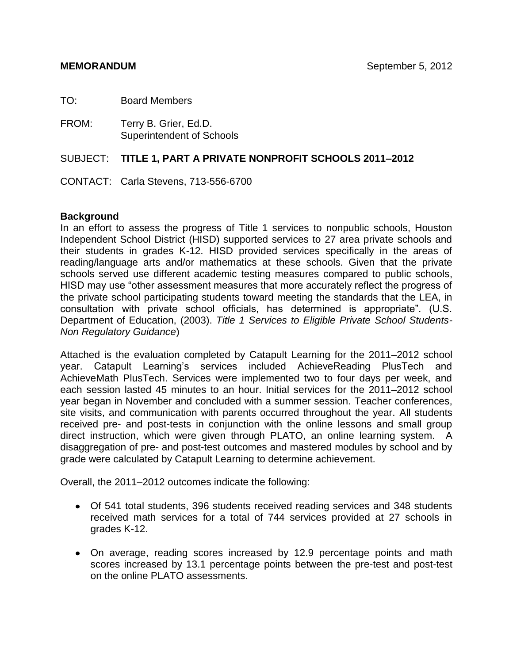TO: Board Members

FROM: Terry B. Grier, Ed.D. Superintendent of Schools

### SUBJECT: **TITLE 1, PART A PRIVATE NONPROFIT SCHOOLS 2011–2012**

CONTACT: Carla Stevens, 713-556-6700

### **Background**

In an effort to assess the progress of Title 1 services to nonpublic schools, Houston Independent School District (HISD) supported services to 27 area private schools and their students in grades K-12. HISD provided services specifically in the areas of reading/language arts and/or mathematics at these schools. Given that the private schools served use different academic testing measures compared to public schools, HISD may use "other assessment measures that more accurately reflect the progress of the private school participating students toward meeting the standards that the LEA, in consultation with private school officials, has determined is appropriate". (U.S. Department of Education, (2003). *Title 1 Services to Eligible Private School Students-Non Regulatory Guidance*)

Attached is the evaluation completed by Catapult Learning for the 2011–2012 school year. Catapult Learning's services included AchieveReading PlusTech and AchieveMath PlusTech. Services were implemented two to four days per week, and each session lasted 45 minutes to an hour. Initial services for the 2011–2012 school year began in November and concluded with a summer session. Teacher conferences, site visits, and communication with parents occurred throughout the year. All students received pre- and post-tests in conjunction with the online lessons and small group direct instruction, which were given through PLATO, an online learning system. A disaggregation of pre- and post-test outcomes and mastered modules by school and by grade were calculated by Catapult Learning to determine achievement.

Overall, the 2011–2012 outcomes indicate the following:

- Of 541 total students, 396 students received reading services and 348 students received math services for a total of 744 services provided at 27 schools in grades K-12.
- On average, reading scores increased by 12.9 percentage points and math scores increased by 13.1 percentage points between the pre-test and post-test on the online PLATO assessments.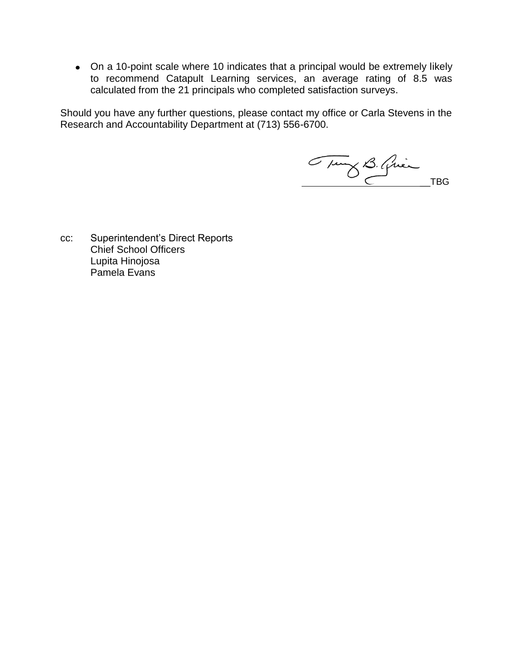On a 10-point scale where 10 indicates that a principal would be extremely likely to recommend Catapult Learning services, an average rating of 8.5 was calculated from the 21 principals who completed satisfaction surveys.

Should you have any further questions, please contact my office or Carla Stevens in the Research and Accountability Department at (713) 556-6700.

Tung B. Quince TBG

cc: Superintendent's Direct Reports Chief School Officers Lupita Hinojosa Pamela Evans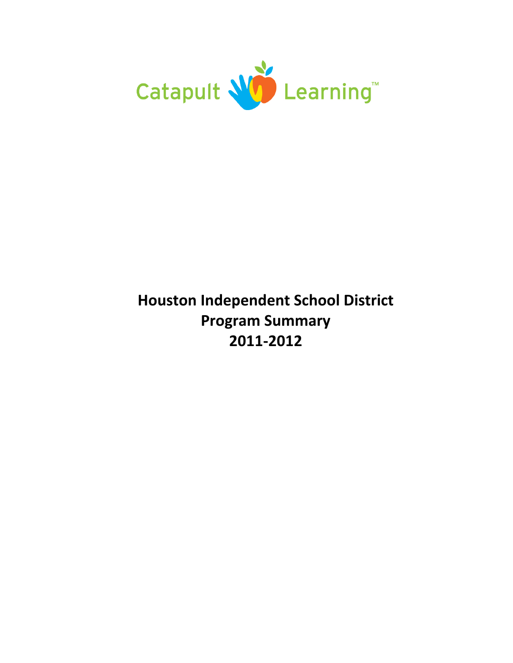

# **Houston Independent School District Program Summary 2011‐2012**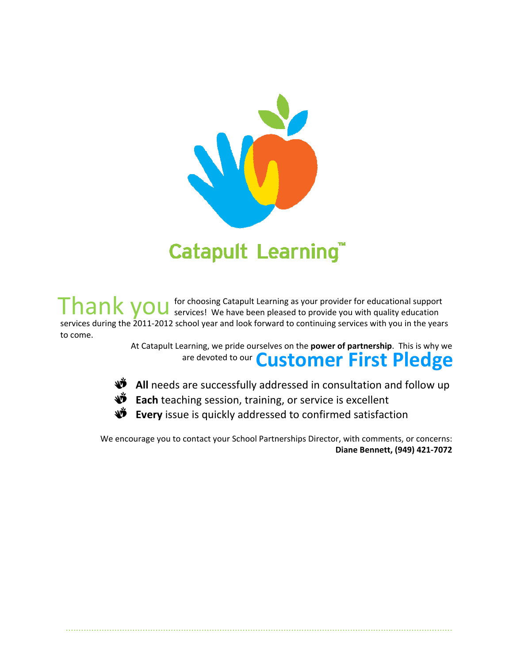

Thank you for choosing Catapult Learning as your provider for educational support<br>Finank you services! We have been pleased to provide you with quality education services during the 2011-2012 school year and look forward to continuing services with you in the years to come.

> At Catapult Learning, we pride ourselves on the **power of partnership**. This is why we are devoted to our **Customer First Pledge**

- $\mathbf{\mathbf{\hat{W}}}$  All needs are successfully addressed in consultation and follow up
- **D** Each teaching session, training, or service is excellent
- NĎ. **Every** issue is quickly addressed to confirmed satisfaction

.......................................................................................................................................................

We encourage you to contact your School Partnerships Director, with comments, or concerns: **Diane Bennett, (949) 421‐7072**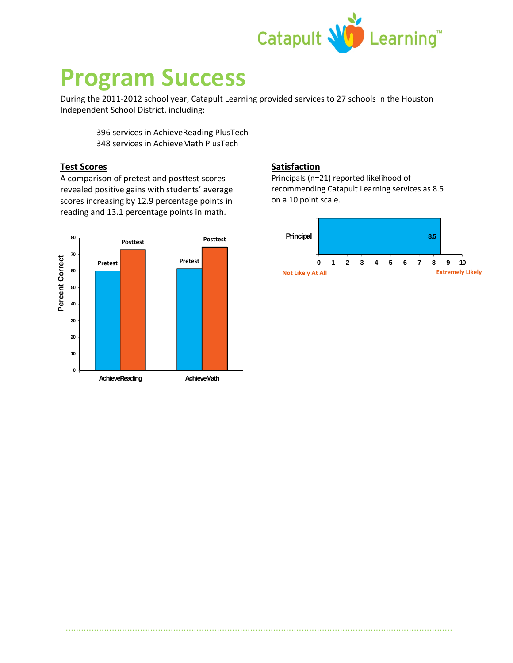

# **Program Success**

During the 2011‐2012 school year, Catapult Learning provided services to 27 schools in the Houston Independent School District, including:

.......................................................................................................................................................

396 services in AchieveReading PlusTech 348 services in AchieveMath PlusTech

### **Test Scores**

A comparison of pretest and posttest scores revealed positive gains with students' average scores increasing by 12.9 percentage points in reading and 13.1 percentage points in math.



### **Satisfaction**

Principals (n=21) reported likelihood of recommending Catapult Learning services as 8.5 on a 10 point scale.

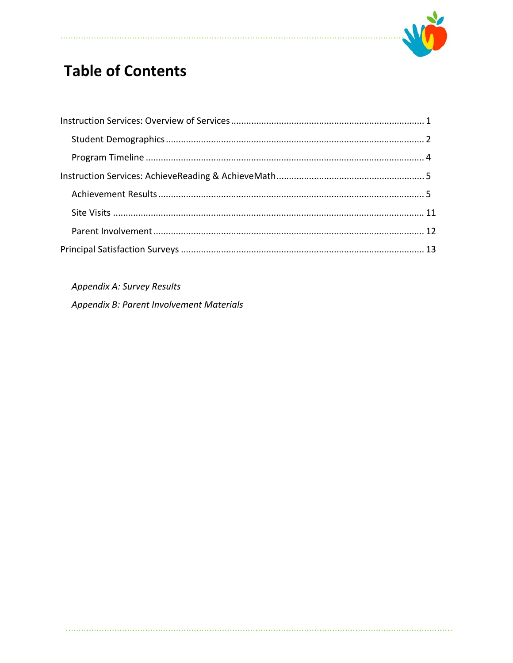

# **Table of Contents**

Appendix A: Survey Results

Appendix B: Parent Involvement Materials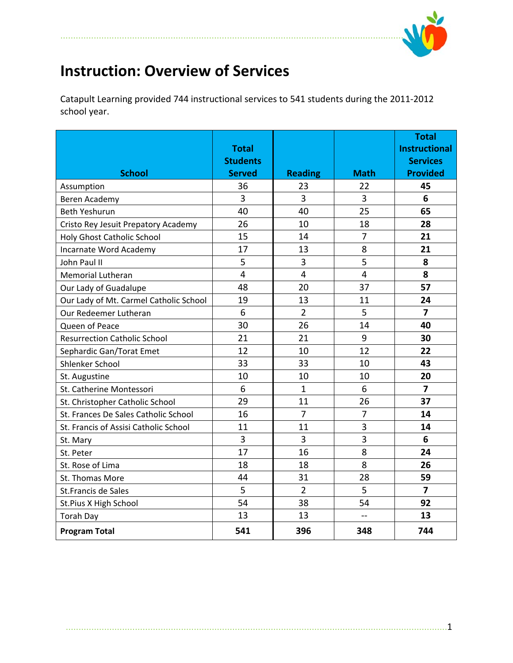

# **Instruction: Overview of Services**

......................................................................................................................................

Catapult Learning provided 744 instructional services to 541 students during the 2011‐2012 school year.

|                                        | <b>Total</b><br><b>Students</b> |                |                | <b>Total</b><br><b>Instructional</b><br><b>Services</b> |
|----------------------------------------|---------------------------------|----------------|----------------|---------------------------------------------------------|
| <b>School</b>                          | <b>Served</b>                   | <b>Reading</b> | <b>Math</b>    | <b>Provided</b>                                         |
| Assumption                             | 36                              | 23             | 22             | 45                                                      |
| Beren Academy                          | 3                               | 3              | 3              | 6                                                       |
| <b>Beth Yeshurun</b>                   | 40                              | 40             | 25             | 65                                                      |
| Cristo Rey Jesuit Prepatory Academy    | 26                              | 10             | 18             | 28                                                      |
| Holy Ghost Catholic School             | 15                              | 14             | $\overline{7}$ | 21                                                      |
| Incarnate Word Academy                 | 17                              | 13             | 8              | 21                                                      |
| John Paul II                           | 5                               | 3              | 5              | 8                                                       |
| <b>Memorial Lutheran</b>               | $\overline{4}$                  | $\overline{4}$ | 4              | 8                                                       |
| Our Lady of Guadalupe                  | 48                              | 20             | 37             | 57                                                      |
| Our Lady of Mt. Carmel Catholic School | 19                              | 13             | 11             | 24                                                      |
| Our Redeemer Lutheran                  | 6                               | $\overline{2}$ | 5              | $\overline{\mathbf{z}}$                                 |
| Queen of Peace                         | 30                              | 26             | 14             | 40                                                      |
| <b>Resurrection Catholic School</b>    | 21                              | 21             | $9\,$          | 30                                                      |
| Sephardic Gan/Torat Emet               | 12                              | 10             | 12             | 22                                                      |
| Shlenker School                        | 33                              | 33             | 10             | 43                                                      |
| St. Augustine                          | 10                              | 10             | 10             | 20                                                      |
| St. Catherine Montessori               | 6                               | $\mathbf{1}$   | 6              | $\overline{7}$                                          |
| St. Christopher Catholic School        | 29                              | 11             | 26             | 37                                                      |
| St. Frances De Sales Catholic School   | 16                              | $\overline{7}$ | $\overline{7}$ | 14                                                      |
| St. Francis of Assisi Catholic School  | 11                              | 11             | 3              | 14                                                      |
| St. Mary                               | $\overline{3}$                  | $\overline{3}$ | 3              | 6                                                       |
| St. Peter                              | 17                              | 16             | 8              | 24                                                      |
| St. Rose of Lima                       | 18                              | 18             | 8              | 26                                                      |
| St. Thomas More                        | 44                              | 31             | 28             | 59                                                      |
| St.Francis de Sales                    | 5                               | $\overline{2}$ | 5              | $\overline{7}$                                          |
| St.Pius X High School                  | 54                              | 38             | 54             | 92                                                      |
| <b>Torah Day</b>                       | 13                              | 13             | $\rightarrow$  | 13                                                      |
| <b>Program Total</b>                   | 541                             | 396            | 348            | 744                                                     |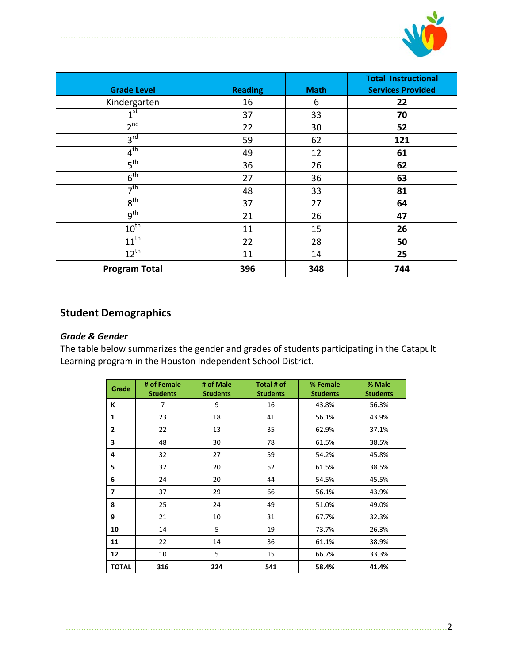

| <b>Grade Level</b>   | <b>Reading</b> | <b>Math</b> | <b>Total Instructional</b><br><b>Services Provided</b> |
|----------------------|----------------|-------------|--------------------------------------------------------|
| Kindergarten         | 16             | 6           | 22                                                     |
| 1 <sup>st</sup>      | 37             | 33          | 70                                                     |
| 2 <sup>nd</sup>      | 22             | 30          | 52                                                     |
| 3 <sup>rd</sup>      | 59             | 62          | 121                                                    |
| $4^{\text{th}}$      | 49             | 12          | 61                                                     |
| 5 <sup>th</sup>      | 36             | 26          | 62                                                     |
| $6^{\text{th}}$      | 27             | 36          | 63                                                     |
| 7 <sup>th</sup>      | 48             | 33          | 81                                                     |
| 8 <sup>th</sup>      | 37             | 27          | 64                                                     |
| 9 <sup>th</sup>      | 21             | 26          | 47                                                     |
| $10^{th}$            | 11             | 15          | 26                                                     |
| $11^{th}$            | 22             | 28          | 50                                                     |
| $12^{th}$            | 11             | 14          | 25                                                     |
| <b>Program Total</b> | 396            | 348         | 744                                                    |

......................................................................................................................................

# **Student Demographics**

### *Grade & Gender*

The table below summarizes the gender and grades of students participating in the Catapult Learning program in the Houston Independent School District.

| Grade          | # of Female<br><b>Students</b> | # of Male<br><b>Students</b> | Total # of<br><b>Students</b> | % Female<br><b>Students</b> | % Male<br><b>Students</b> |
|----------------|--------------------------------|------------------------------|-------------------------------|-----------------------------|---------------------------|
| К              | 7                              | 9                            | 16                            | 43.8%                       | 56.3%                     |
| 1              | 23                             | 18                           | 41                            | 56.1%                       | 43.9%                     |
| $\overline{2}$ | 22                             | 13                           | 35                            | 62.9%                       | 37.1%                     |
| 3              | 48                             | 30                           | 78                            | 61.5%                       | 38.5%                     |
| 4              | 32                             | 27                           | 59                            | 54.2%                       | 45.8%                     |
| 5              | 32                             | 20                           | 52                            | 61.5%                       | 38.5%                     |
| 6              | 24                             | 20                           | 44                            | 54.5%                       | 45.5%                     |
| 7              | 37                             | 29                           | 66                            | 56.1%                       | 43.9%                     |
| 8              | 25                             | 24                           | 49                            | 51.0%                       | 49.0%                     |
| 9              | 21                             | 10                           | 31                            | 67.7%                       | 32.3%                     |
| 10             | 14                             | 5                            | 19                            | 73.7%                       | 26.3%                     |
| 11             | 22                             | 14                           | 36                            | 61.1%                       | 38.9%                     |
| 12             | 10                             | 5                            | 15                            | 66.7%                       | 33.3%                     |
| <b>TOTAL</b>   | 316                            | 224                          | 541                           | 58.4%                       | 41.4%                     |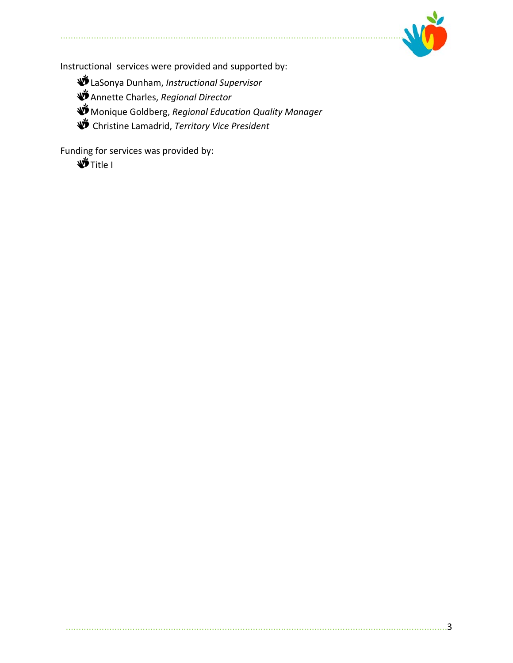

Instructional services were provided and supported by:

- LaSonya Dunham, *Instructional Supervisor*
- Annette Charles, *Regional Director*
- Monique Goldberg, *Regional Education Quality Manager*
- Christine Lamadrid, *Territory Vice President*

Funding for services was provided by:

**W** Title I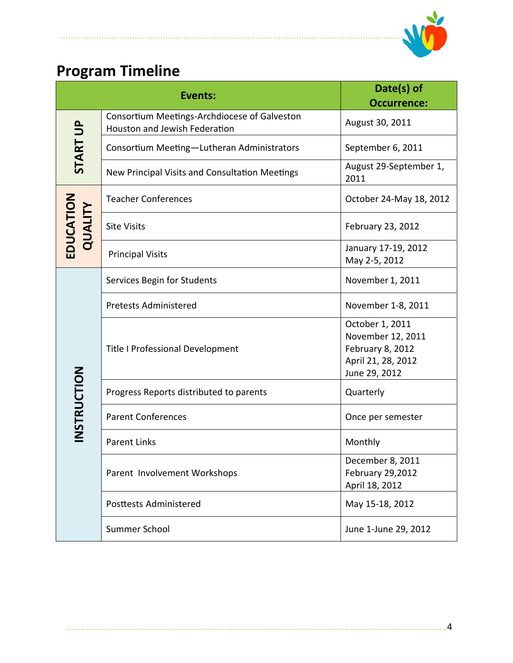

# **Program Timeline**

......................................................................................................................................

|                      | <b>Events:</b>                                                                | Date(s) of<br><b>Occurrence:</b>                                                                |
|----------------------|-------------------------------------------------------------------------------|-------------------------------------------------------------------------------------------------|
|                      | Consortium Meetings-Archdiocese of Galveston<br>Houston and Jewish Federation | August 30, 2011                                                                                 |
| <b>START UP</b>      | Consortium Meeting-Lutheran Administrators                                    | September 6, 2011                                                                               |
|                      | New Principal Visits and Consultation Meetings                                | August 29-September 1,<br>2011                                                                  |
|                      | <b>Teacher Conferences</b>                                                    | October 24-May 18, 2012                                                                         |
| EDUCATION<br>QUALITY | <b>Site Visits</b>                                                            | February 23, 2012                                                                               |
|                      | <b>Principal Visits</b>                                                       | January 17-19, 2012<br>May 2-5, 2012                                                            |
|                      | Services Begin for Students                                                   | November 1, 2011                                                                                |
|                      | <b>Pretests Administered</b>                                                  | November 1-8, 2011                                                                              |
|                      | Title I Professional Development                                              | October 1, 2011<br>November 12, 2011<br>February 8, 2012<br>April 21, 28, 2012<br>June 29, 2012 |
|                      | Progress Reports distributed to parents                                       | Quarterly                                                                                       |
| INSTRUCTION          | <b>Parent Conferences</b>                                                     | Once per semester                                                                               |
|                      | <b>Parent Links</b>                                                           | Monthly                                                                                         |
|                      | Parent Involvement Workshops                                                  | December 8, 2011<br>February 29,2012<br>April 18, 2012                                          |
|                      | <b>Posttests Administered</b>                                                 | May 15-18, 2012                                                                                 |
|                      | Summer School                                                                 | June 1-June 29, 2012                                                                            |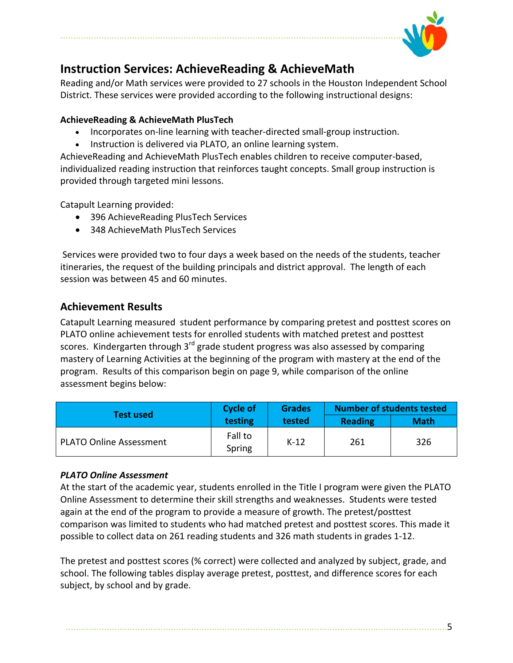

# **Instruction Services: AchieveReading & AchieveMath**

Reading and/or Math services were provided to 27 schools in the Houston Independent School District. These services were provided according to the following instructional designs:

### **AchieveReading & AchieveMath PlusTech**

- Incorporates on-line learning with teacher-directed small-group instruction.
- Instruction is delivered via PLATO, an online learning system.

AchieveReading and AchieveMath PlusTech enables children to receive computer‐based, individualized reading instruction that reinforces taught concepts. Small group instruction is provided through targeted mini lessons.

Catapult Learning provided:

- 396 AchieveReading PlusTech Services
- 348 AchieveMath PlusTech Services

Services were provided two to four days a week based on the needs of the students, teacher itineraries, the request of the building principals and district approval. The length of each session was between 45 and 60 minutes.

## **Achievement Results**

Catapult Learning measured student performance by comparing pretest and posttest scores on PLATO online achievement tests for enrolled students with matched pretest and posttest scores. Kindergarten through  $3<sup>rd</sup>$  grade student progress was also assessed by comparing mastery of Learning Activities at the beginning of the program with mastery at the end of the program. Results of this comparison begin on page 9, while comparison of the online assessment begins below:

| <b>Test used</b>               | <b>Cycle of</b>   | <b>Grades</b> |                | <b>Number of students tested</b> |  |  |
|--------------------------------|-------------------|---------------|----------------|----------------------------------|--|--|
|                                | testing           | tested        | <b>Reading</b> | <b>Math</b>                      |  |  |
| <b>PLATO Online Assessment</b> | Fall to<br>Spring | $K-12$        | 261            | 326                              |  |  |

### *PLATO Online Assessment*

At the start of the academic year, students enrolled in the Title I program were given the PLATO Online Assessment to determine their skill strengths and weaknesses. Students were tested again at the end of the program to provide a measure of growth. The pretest/posttest comparison was limited to students who had matched pretest and posttest scores. This made it possible to collect data on 261 reading students and 326 math students in grades 1‐12.

The pretest and posttest scores (% correct) were collected and analyzed by subject, grade, and school. The following tables display average pretest, posttest, and difference scores for each subject, by school and by grade.

.....................................................................................................................................................5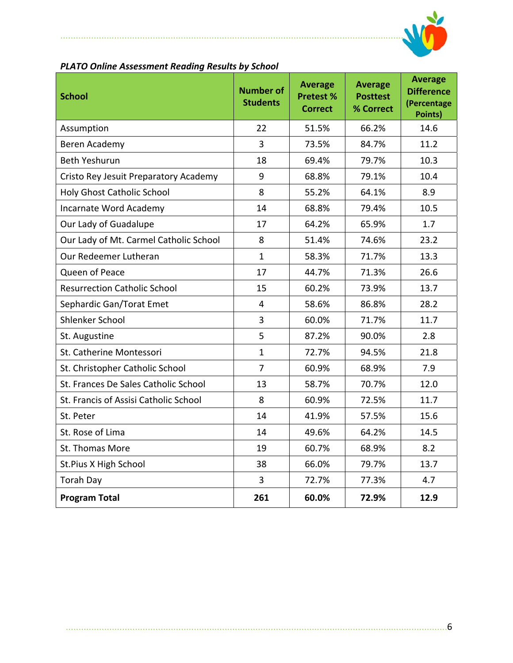

### *PLATO Online Assessment Reading Results by School*

......................................................................................................................................

| <b>School</b>                          | <b>Number of</b><br><b>Students</b> | <b>Average</b><br><b>Pretest %</b><br><b>Correct</b> | <b>Average</b><br><b>Posttest</b><br>% Correct | <b>Average</b><br><b>Difference</b><br>(Percentage<br>Points) |
|----------------------------------------|-------------------------------------|------------------------------------------------------|------------------------------------------------|---------------------------------------------------------------|
| Assumption                             | 22                                  | 51.5%                                                | 66.2%                                          | 14.6                                                          |
| Beren Academy                          | 3                                   | 73.5%                                                | 84.7%                                          | 11.2                                                          |
| <b>Beth Yeshurun</b>                   | 18                                  | 69.4%                                                | 79.7%                                          | 10.3                                                          |
| Cristo Rey Jesuit Preparatory Academy  | 9                                   | 68.8%                                                | 79.1%                                          | 10.4                                                          |
| Holy Ghost Catholic School             | 8                                   | 55.2%                                                | 64.1%                                          | 8.9                                                           |
| Incarnate Word Academy                 | 14                                  | 68.8%                                                | 79.4%                                          | 10.5                                                          |
| Our Lady of Guadalupe                  | 17                                  | 64.2%                                                | 65.9%                                          | 1.7                                                           |
| Our Lady of Mt. Carmel Catholic School | 8                                   | 51.4%                                                | 74.6%                                          | 23.2                                                          |
| Our Redeemer Lutheran                  | $\mathbf{1}$                        | 58.3%                                                | 71.7%                                          | 13.3                                                          |
| Queen of Peace                         | 17                                  | 44.7%                                                | 71.3%                                          | 26.6                                                          |
| <b>Resurrection Catholic School</b>    | 15                                  | 60.2%                                                | 73.9%                                          | 13.7                                                          |
| Sephardic Gan/Torat Emet               | $\overline{4}$                      | 58.6%                                                | 86.8%                                          | 28.2                                                          |
| Shlenker School                        | 3                                   | 60.0%                                                | 71.7%                                          | 11.7                                                          |
| St. Augustine                          | 5                                   | 87.2%                                                | 90.0%                                          | 2.8                                                           |
| St. Catherine Montessori               | $\mathbf{1}$                        | 72.7%                                                | 94.5%                                          | 21.8                                                          |
| St. Christopher Catholic School        | $\overline{7}$                      | 60.9%                                                | 68.9%                                          | 7.9                                                           |
| St. Frances De Sales Catholic School   | 13                                  | 58.7%                                                | 70.7%                                          | 12.0                                                          |
| St. Francis of Assisi Catholic School  | 8                                   | 60.9%                                                | 72.5%                                          | 11.7                                                          |
| St. Peter                              | 14                                  | 41.9%                                                | 57.5%                                          | 15.6                                                          |
| St. Rose of Lima                       | 14                                  | 49.6%                                                | 64.2%                                          | 14.5                                                          |
| St. Thomas More                        | 19                                  | 60.7%                                                | 68.9%                                          | 8.2                                                           |
| St.Pius X High School                  | 38                                  | 66.0%                                                | 79.7%                                          | 13.7                                                          |
| <b>Torah Day</b>                       | 3                                   | 72.7%                                                | 77.3%                                          | 4.7                                                           |
| <b>Program Total</b>                   | 261                                 | 60.0%                                                | 72.9%                                          | 12.9                                                          |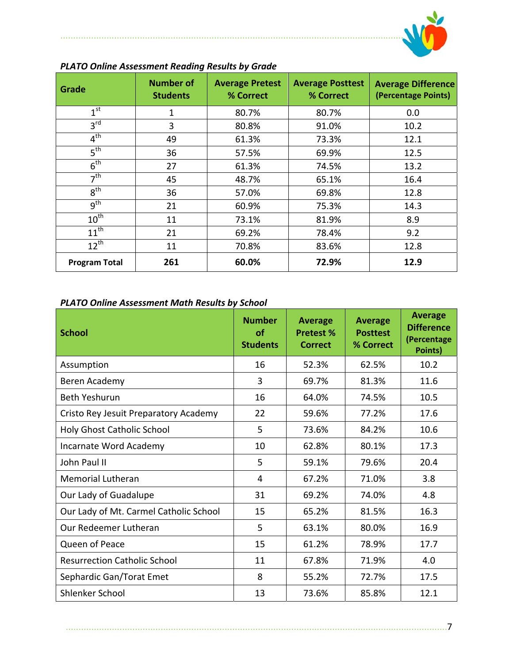

| Grade                | <b>Number of</b><br><b>Students</b> | <b>Average Pretest</b><br>% Correct | <b>Average Posttest</b><br>% Correct | <b>Average Difference</b><br>(Percentage Points) |
|----------------------|-------------------------------------|-------------------------------------|--------------------------------------|--------------------------------------------------|
| 1 <sup>st</sup>      | 1                                   | 80.7%                               | 80.7%                                | 0.0                                              |
| 3 <sup>rd</sup>      | 3                                   | 80.8%                               | 91.0%                                | 10.2                                             |
| $4^{\text{th}}$      | 49                                  | 61.3%                               | 73.3%                                | 12.1                                             |
| $5^{\text{th}}$      | 36                                  | 57.5%                               | 69.9%                                | 12.5                                             |
| $6^{\text{th}}$      | 27                                  | 61.3%                               | 74.5%                                | 13.2                                             |
| 7 <sup>th</sup>      | 45                                  | 48.7%                               | 65.1%                                | 16.4                                             |
| $8^{\text{th}}$      | 36                                  | 57.0%                               | 69.8%                                | 12.8                                             |
| $q^{th}$             | 21                                  | 60.9%                               | 75.3%                                | 14.3                                             |
| $10^{\text{th}}$     | 11                                  | 73.1%                               | 81.9%                                | 8.9                                              |
| $11^{\text{th}}$     | 21                                  | 69.2%                               | 78.4%                                | 9.2                                              |
| $12^{th}$            | 11                                  | 70.8%                               | 83.6%                                | 12.8                                             |
| <b>Program Total</b> | 261                                 | 60.0%                               | 72.9%                                | 12.9                                             |

## *PLATO Online Assessment Reading Results by Grade*

......................................................................................................................................

### *PLATO Online Assessment Math Results by School*

| <b>School</b>                          | <b>Number</b><br>of<br><b>Students</b> | <b>Average</b><br><b>Pretest %</b><br><b>Correct</b> | <b>Average</b><br><b>Posttest</b><br>% Correct | <b>Average</b><br><b>Difference</b><br>(Percentage<br>Points) |
|----------------------------------------|----------------------------------------|------------------------------------------------------|------------------------------------------------|---------------------------------------------------------------|
| Assumption                             | 16                                     | 52.3%                                                | 62.5%                                          | 10.2                                                          |
| Beren Academy                          | 3                                      | 69.7%                                                | 81.3%                                          | 11.6                                                          |
| <b>Beth Yeshurun</b>                   | 16                                     | 64.0%                                                | 74.5%                                          | 10.5                                                          |
| Cristo Rey Jesuit Preparatory Academy  | 22                                     | 59.6%                                                | 77.2%                                          | 17.6                                                          |
| Holy Ghost Catholic School             | 5                                      | 73.6%                                                | 84.2%                                          | 10.6                                                          |
| Incarnate Word Academy                 | 10                                     | 62.8%                                                | 80.1%                                          | 17.3                                                          |
| John Paul II                           | 5                                      | 59.1%                                                | 79.6%                                          | 20.4                                                          |
| <b>Memorial Lutheran</b>               | 4                                      | 67.2%                                                | 71.0%                                          | 3.8                                                           |
| Our Lady of Guadalupe                  | 31                                     | 69.2%                                                | 74.0%                                          | 4.8                                                           |
| Our Lady of Mt. Carmel Catholic School | 15                                     | 65.2%                                                | 81.5%                                          | 16.3                                                          |
| Our Redeemer Lutheran                  | 5                                      | 63.1%                                                | 80.0%                                          | 16.9                                                          |
| Queen of Peace                         | 15                                     | 61.2%                                                | 78.9%                                          | 17.7                                                          |
| <b>Resurrection Catholic School</b>    | 11                                     | 67.8%                                                | 71.9%                                          | 4.0                                                           |
| Sephardic Gan/Torat Emet               | 8                                      | 55.2%                                                | 72.7%                                          | 17.5                                                          |
| Shlenker School                        | 13                                     | 73.6%                                                | 85.8%                                          | 12.1                                                          |

.....................................................................................................................................................7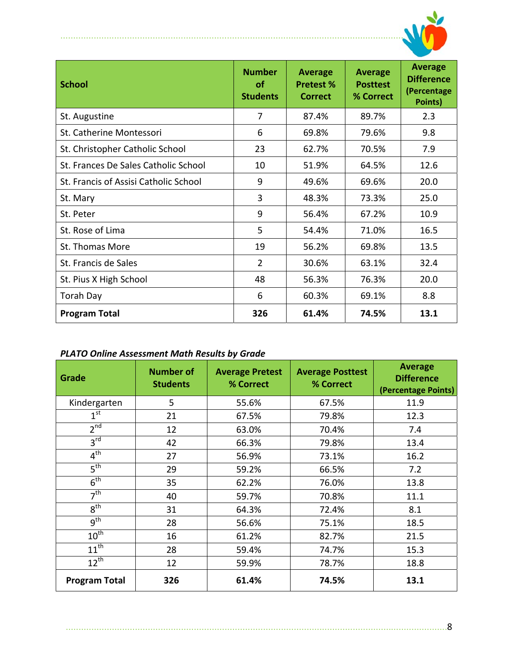

| <b>School</b>                         | <b>Number</b><br>οf<br><b>Students</b> | <b>Average</b><br><b>Pretest %</b><br><b>Correct</b> | <b>Average</b><br><b>Posttest</b><br>% Correct | <b>Average</b><br><b>Difference</b><br>(Percentage<br>Points) |
|---------------------------------------|----------------------------------------|------------------------------------------------------|------------------------------------------------|---------------------------------------------------------------|
| St. Augustine                         | 7                                      | 87.4%                                                | 89.7%                                          | 2.3                                                           |
| St. Catherine Montessori              | 6                                      | 69.8%                                                | 79.6%                                          | 9.8                                                           |
| St. Christopher Catholic School       | 23                                     | 62.7%                                                | 70.5%                                          | 7.9                                                           |
| St. Frances De Sales Catholic School  | 10                                     | 51.9%                                                | 64.5%                                          | 12.6                                                          |
| St. Francis of Assisi Catholic School | 9                                      | 49.6%                                                | 69.6%                                          | 20.0                                                          |
| St. Mary                              | 3                                      | 48.3%                                                | 73.3%                                          | 25.0                                                          |
| St. Peter                             | 9                                      | 56.4%                                                | 67.2%                                          | 10.9                                                          |
| St. Rose of Lima                      | 5                                      | 54.4%                                                | 71.0%                                          | 16.5                                                          |
| St. Thomas More                       | 19                                     | 56.2%                                                | 69.8%                                          | 13.5                                                          |
| St. Francis de Sales                  | $\overline{2}$                         | 30.6%                                                | 63.1%                                          | 32.4                                                          |
| St. Pius X High School                | 48                                     | 56.3%                                                | 76.3%                                          | 20.0                                                          |
| <b>Torah Day</b>                      | 6                                      | 60.3%                                                | 69.1%                                          | 8.8                                                           |
| <b>Program Total</b>                  | 326                                    | 61.4%                                                | 74.5%                                          | 13.1                                                          |

## *PLATO Online Assessment Math Results by Grade*

......................................................................................................................................

| Grade                | <b>Number of</b><br><b>Students</b> | <b>Average Pretest</b><br>% Correct | <b>Average Posttest</b><br>% Correct | <b>Average</b><br><b>Difference</b><br>(Percentage Points) |
|----------------------|-------------------------------------|-------------------------------------|--------------------------------------|------------------------------------------------------------|
| Kindergarten         | 5                                   | 55.6%                               | 67.5%                                | 11.9                                                       |
| $1^{\rm st}$         | 21                                  | 67.5%                               | 79.8%                                | 12.3                                                       |
| 2 <sup>nd</sup>      | 12                                  | 63.0%                               | 70.4%                                | 7.4                                                        |
| 3 <sup>rd</sup>      | 42                                  | 66.3%                               | 79.8%                                | 13.4                                                       |
| 4 <sup>th</sup>      | 27                                  | 56.9%                               | 73.1%                                | 16.2                                                       |
| 5 <sup>th</sup>      | 29                                  | 59.2%                               | 66.5%                                | 7.2                                                        |
| 6 <sup>th</sup>      | 35                                  | 62.2%                               | 76.0%                                | 13.8                                                       |
| 7 <sup>th</sup>      | 40                                  | 59.7%                               | 70.8%                                | 11.1                                                       |
| 8 <sup>th</sup>      | 31                                  | 64.3%                               | 72.4%                                | 8.1                                                        |
| g <sup>th</sup>      | 28                                  | 56.6%                               | 75.1%                                | 18.5                                                       |
| $10^{th}$            | 16                                  | 61.2%                               | 82.7%                                | 21.5                                                       |
| $11^{\text{th}}$     | 28                                  | 59.4%                               | 74.7%                                | 15.3                                                       |
| $12^{th}$            | 12                                  | 59.9%                               | 78.7%                                | 18.8                                                       |
| <b>Program Total</b> | 326                                 | 61.4%                               | 74.5%                                | 13.1                                                       |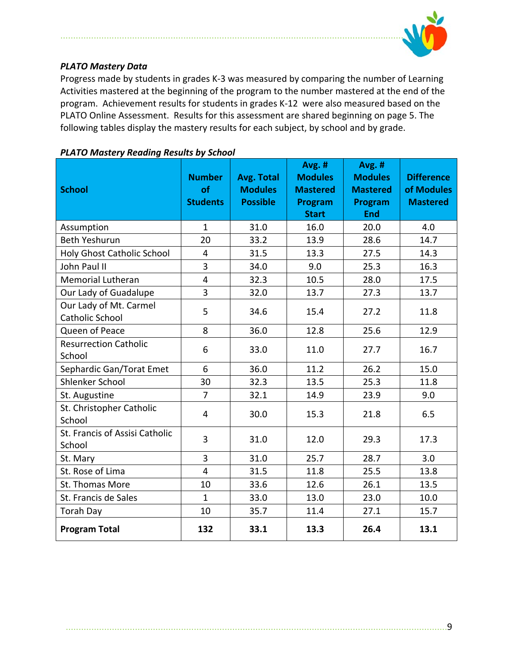

### *PLATO Mastery Data*

Progress made by students in grades K‐3 was measured by comparing the number of Learning Activities mastered at the beginning of the program to the number mastered at the end of the program. Achievement results for students in grades K‐12 were also measured based on the PLATO Online Assessment. Results for this assessment are shared beginning on page 5. The following tables display the mastery results for each subject, by school and by grade.

| <b>School</b>                             | <b>Number</b><br>of<br><b>Students</b> | <b>Avg. Total</b><br><b>Modules</b><br><b>Possible</b> | Avg. #<br><b>Modules</b><br><b>Mastered</b><br>Program<br><b>Start</b> | Avg. #<br><b>Modules</b><br><b>Mastered</b><br>Program<br><b>End</b> | <b>Difference</b><br>of Modules<br><b>Mastered</b> |
|-------------------------------------------|----------------------------------------|--------------------------------------------------------|------------------------------------------------------------------------|----------------------------------------------------------------------|----------------------------------------------------|
| Assumption                                | $\mathbf{1}$                           | 31.0                                                   | 16.0                                                                   | 20.0                                                                 | 4.0                                                |
| <b>Beth Yeshurun</b>                      | 20                                     | 33.2                                                   | 13.9                                                                   | 28.6                                                                 | 14.7                                               |
| <b>Holy Ghost Catholic School</b>         | 4                                      | 31.5                                                   | 13.3                                                                   | 27.5                                                                 | 14.3                                               |
| John Paul II                              | 3                                      | 34.0                                                   | 9.0                                                                    | 25.3                                                                 | 16.3                                               |
| <b>Memorial Lutheran</b>                  | $\overline{4}$                         | 32.3                                                   | 10.5                                                                   | 28.0                                                                 | 17.5                                               |
| Our Lady of Guadalupe                     | $\overline{3}$                         | 32.0                                                   | 13.7                                                                   | 27.3                                                                 | 13.7                                               |
| Our Lady of Mt. Carmel<br>Catholic School | 5                                      | 34.6                                                   | 15.4                                                                   | 27.2                                                                 | 11.8                                               |
| Queen of Peace                            | 8                                      | 36.0                                                   | 12.8                                                                   | 25.6                                                                 | 12.9                                               |
| <b>Resurrection Catholic</b><br>School    | 6                                      | 33.0                                                   | 11.0                                                                   | 27.7                                                                 | 16.7                                               |
| Sephardic Gan/Torat Emet                  | 6                                      | 36.0                                                   | 11.2                                                                   | 26.2                                                                 | 15.0                                               |
| Shlenker School                           | 30                                     | 32.3                                                   | 13.5                                                                   | 25.3                                                                 | 11.8                                               |
| St. Augustine                             | $\overline{7}$                         | 32.1                                                   | 14.9                                                                   | 23.9                                                                 | 9.0                                                |
| St. Christopher Catholic<br>School        | $\overline{4}$                         | 30.0                                                   | 15.3                                                                   | 21.8                                                                 | 6.5                                                |
| St. Francis of Assisi Catholic<br>School  | 3                                      | 31.0                                                   | 12.0                                                                   | 29.3                                                                 | 17.3                                               |
| St. Mary                                  | 3                                      | 31.0                                                   | 25.7                                                                   | 28.7                                                                 | 3.0                                                |
| St. Rose of Lima                          | $\overline{4}$                         | 31.5                                                   | 11.8                                                                   | 25.5                                                                 | 13.8                                               |
| St. Thomas More                           | 10                                     | 33.6                                                   | 12.6                                                                   | 26.1                                                                 | 13.5                                               |
| St. Francis de Sales                      | $\mathbf{1}$                           | 33.0                                                   | 13.0                                                                   | 23.0                                                                 | 10.0                                               |
| <b>Torah Day</b>                          | 10                                     | 35.7                                                   | 11.4                                                                   | 27.1                                                                 | 15.7                                               |
| <b>Program Total</b>                      | 132                                    | 33.1                                                   | 13.3                                                                   | 26.4                                                                 | 13.1                                               |

### *PLATO Mastery Reading Results by School*

.....................................................................................................................................................9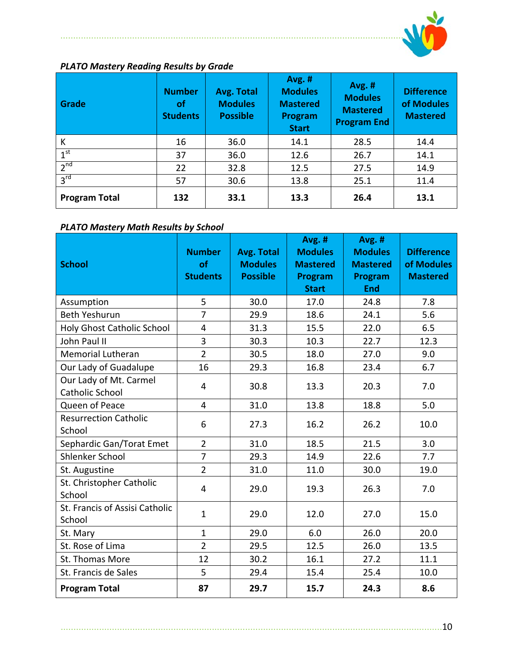

## *PLATO Mastery Reading Results by Grade*

......................................................................................................................................

| Grade                | <b>Number</b><br>οf<br><b>Students</b> | Avg. Total<br><b>Modules</b><br><b>Possible</b> | <b>Avg. #</b><br><b>Modules</b><br><b>Mastered</b><br>Program<br><b>Start</b> | <b>Avg. #</b><br><b>Modules</b><br><b>Mastered</b><br><b>Program End</b> | <b>Difference</b><br>of Modules<br><b>Mastered</b> |  |  |  |
|----------------------|----------------------------------------|-------------------------------------------------|-------------------------------------------------------------------------------|--------------------------------------------------------------------------|----------------------------------------------------|--|--|--|
| K                    | 16                                     | 36.0                                            | 28.5                                                                          | 14.4                                                                     |                                                    |  |  |  |
| 1 <sup>st</sup>      | 37                                     | 36.0                                            | 12.6                                                                          | 26.7                                                                     | 14.1                                               |  |  |  |
| 2 <sup>nd</sup>      | 22                                     | 32.8                                            | 12.5                                                                          | 27.5                                                                     | 14.9                                               |  |  |  |
| 3 <sup>rd</sup>      | 57                                     | 30.6                                            | 13.8                                                                          | 25.1                                                                     | 11.4                                               |  |  |  |
| <b>Program Total</b> | 132                                    | 33.1                                            | 13.3                                                                          | 26.4                                                                     | 13.1                                               |  |  |  |

### *PLATO Mastery Math Results by School*

|                                          |                     |                                   | Avg. #                  | Avg. #                |                               |
|------------------------------------------|---------------------|-----------------------------------|-------------------------|-----------------------|-------------------------------|
|                                          | <b>Number</b><br>of | <b>Avg. Total</b>                 | <b>Modules</b>          | <b>Modules</b>        | <b>Difference</b>             |
| <b>School</b>                            | <b>Students</b>     | <b>Modules</b><br><b>Possible</b> | <b>Mastered</b>         | <b>Mastered</b>       | of Modules<br><b>Mastered</b> |
|                                          |                     |                                   | Program<br><b>Start</b> | Program<br><b>End</b> |                               |
| Assumption                               | 5                   | 30.0                              | 17.0                    | 24.8                  | 7.8                           |
| <b>Beth Yeshurun</b>                     | $\overline{7}$      | 29.9                              | 18.6                    | 24.1                  | 5.6                           |
| <b>Holy Ghost Catholic School</b>        | 4                   | 31.3                              | 15.5                    | 22.0                  | 6.5                           |
| John Paul II                             | 3                   | 30.3                              | 10.3                    | 22.7                  | 12.3                          |
| Memorial Lutheran                        | $\overline{2}$      | 30.5                              | 18.0                    | 27.0                  | 9.0                           |
| Our Lady of Guadalupe                    | 16                  | 29.3                              | 16.8                    | 23.4                  | 6.7                           |
| Our Lady of Mt. Carmel                   | 4                   | 30.8                              | 13.3                    | 20.3                  | 7.0                           |
| <b>Catholic School</b>                   |                     |                                   |                         |                       |                               |
| Queen of Peace                           | 4                   | 31.0                              | 13.8                    | 18.8                  | 5.0                           |
| <b>Resurrection Catholic</b>             | 6                   | 27.3                              | 16.2                    | 26.2                  | 10.0                          |
| School                                   |                     |                                   |                         |                       |                               |
| Sephardic Gan/Torat Emet                 | $\overline{2}$      | 31.0                              | 18.5                    | 21.5                  | 3.0                           |
| Shlenker School                          | $\overline{7}$      | 29.3                              | 14.9                    | 22.6                  | 7.7                           |
| St. Augustine                            | $\overline{2}$      | 31.0                              | 11.0                    | 30.0                  | 19.0                          |
| St. Christopher Catholic<br>School       | 4                   | 29.0                              | 19.3                    | 26.3                  | 7.0                           |
| St. Francis of Assisi Catholic<br>School | $\mathbf 1$         | 29.0                              | 12.0                    | 27.0                  | 15.0                          |
| St. Mary                                 | $\mathbf 1$         | 29.0                              | 6.0                     | 26.0                  | 20.0                          |
| St. Rose of Lima                         | $\overline{2}$      | 29.5                              | 12.5                    | 26.0                  | 13.5                          |
| St. Thomas More                          | 12                  | 30.2                              | 16.1                    | 27.2                  | 11.1                          |
| St. Francis de Sales                     | 5                   | 29.4                              | 15.4                    | 25.4                  | 10.0                          |
| <b>Program Total</b>                     | 87                  | 29.7                              | 15.7                    | 24.3                  | 8.6                           |

.....................................................................................................................................................10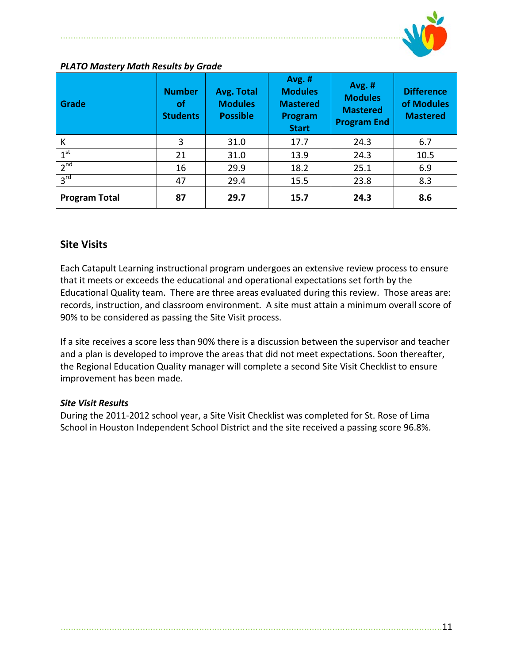

| Grade                | <b>Number</b><br>οf<br><b>Students</b> | <b>Avg. Total</b><br><b>Modules</b><br><b>Possible</b> | <b>Avg. #</b><br><b>Modules</b><br><b>Mastered</b><br>Program<br><b>Start</b> | <b>Avg. #</b><br><b>Modules</b><br><b>Mastered</b><br><b>Program End</b> | <b>Difference</b><br>of Modules<br><b>Mastered</b> |  |  |  |
|----------------------|----------------------------------------|--------------------------------------------------------|-------------------------------------------------------------------------------|--------------------------------------------------------------------------|----------------------------------------------------|--|--|--|
| К                    | 3                                      | 31.0                                                   | 24.3                                                                          | 6.7                                                                      |                                                    |  |  |  |
| 1 <sup>st</sup>      | 21                                     | 31.0                                                   | 13.9                                                                          | 24.3                                                                     | 10.5                                               |  |  |  |
| 2 <sup>nd</sup>      | 16                                     | 29.9                                                   | 18.2                                                                          | 25.1                                                                     | 6.9<br>8.3                                         |  |  |  |
| 3 <sup>rd</sup>      | 47                                     | 29.4                                                   | 15.5                                                                          | 23.8                                                                     |                                                    |  |  |  |
| <b>Program Total</b> | 87                                     | 29.7                                                   | 15.7                                                                          | 24.3                                                                     | 8.6                                                |  |  |  |

### *PLATO Mastery Math Results by Grade*

### **Site Visits**

Each Catapult Learning instructional program undergoes an extensive review process to ensure that it meets or exceeds the educational and operational expectations set forth by the Educational Quality team. There are three areas evaluated during this review. Those areas are: records, instruction, and classroom environment. A site must attain a minimum overall score of 90% to be considered as passing the Site Visit process.

If a site receives a score less than 90% there is a discussion between the supervisor and teacher and a plan is developed to improve the areas that did not meet expectations. Soon thereafter, the Regional Education Quality manager will complete a second Site Visit Checklist to ensure improvement has been made.

### *Site Visit Results*

During the 2011‐2012 school year, a Site Visit Checklist was completed for St. Rose of Lima School in Houston Independent School District and the site received a passing score 96.8%.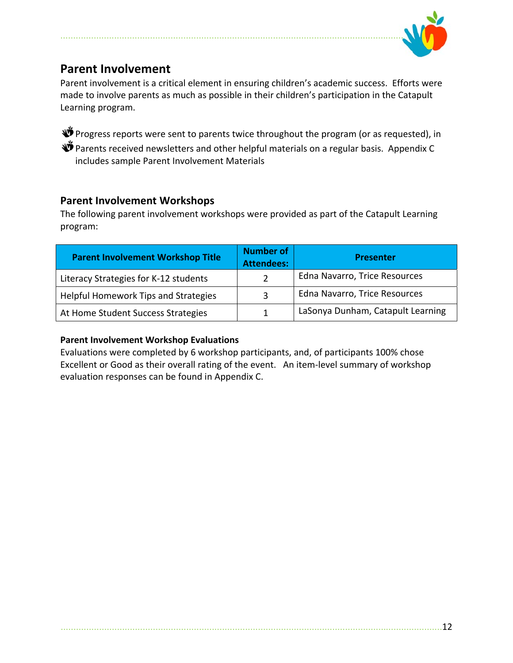

# **Parent Involvement**

Parent involvement is a critical element in ensuring children's academic success. Efforts were made to involve parents as much as possible in their children's participation in the Catapult Learning program.

 $\mathbf{\mathring{D}}$  Progress reports were sent to parents twice throughout the program (or as requested), in  $\mathbf{\mathbf{\Psi}}$  Parents received newsletters and other helpful materials on a regular basis. Appendix C includes sample Parent Involvement Materials

### **Parent Involvement Workshops**

The following parent involvement workshops were provided as part of the Catapult Learning program:

| <b>Parent Involvement Workshop Title</b> | <b>Number of</b><br><b>Attendees:</b> | <b>Presenter</b>                  |
|------------------------------------------|---------------------------------------|-----------------------------------|
| Literacy Strategies for K-12 students    |                                       | Edna Navarro, Trice Resources     |
| Helpful Homework Tips and Strategies     | 3                                     | Edna Navarro, Trice Resources     |
| At Home Student Success Strategies       |                                       | LaSonya Dunham, Catapult Learning |

### **Parent Involvement Workshop Evaluations**

Evaluations were completed by 6 workshop participants, and, of participants 100% chose Excellent or Good as their overall rating of the event. An item-level summary of workshop evaluation responses can be found in Appendix C.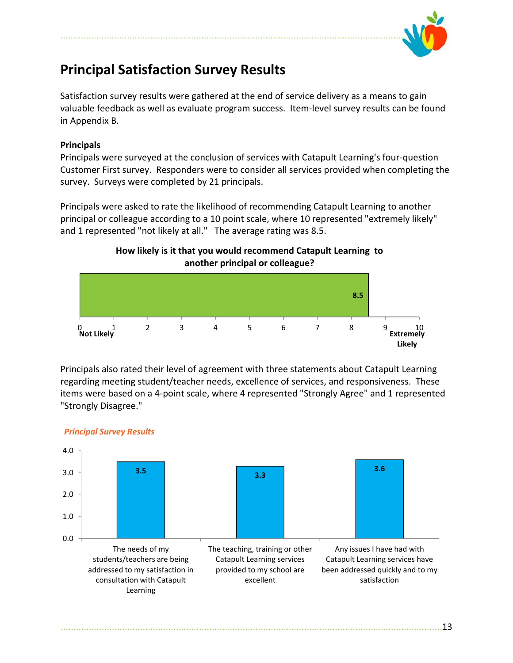

# **Principal Satisfaction Survey Results**

Satisfaction survey results were gathered at the end of service delivery as a means to gain valuable feedback as well as evaluate program success. Item‐level survey results can be found in Appendix B.

### **Principals**

Principals were surveyed at the conclusion of services with Catapult Learning's four‐question Customer First survey. Responders were to consider all services provided when completing the survey. Surveys were completed by 21 principals.

Principals were asked to rate the likelihood of recommending Catapult Learning to another principal or colleague according to a 10 point scale, where 10 represented "extremely likely" and 1 represented "not likely at all." The average rating was 8.5.

### **How likely is it that you would recommend Catapult Learning to another principal or colleague?**



Principals also rated their level of agreement with three statements about Catapult Learning regarding meeting student/teacher needs, excellence of services, and responsiveness. These items were based on a 4‐point scale, where 4 represented "Strongly Agree" and 1 represented "Strongly Disagree."



### *Principal Survey Results*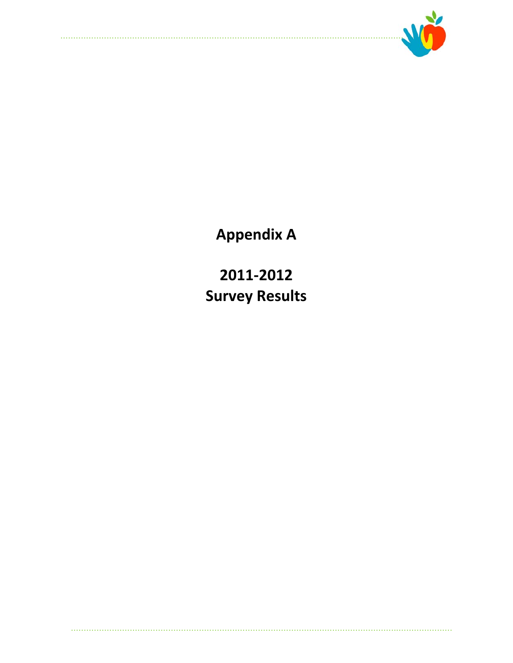

**Appendix A** 

2011-2012 **Survey Results**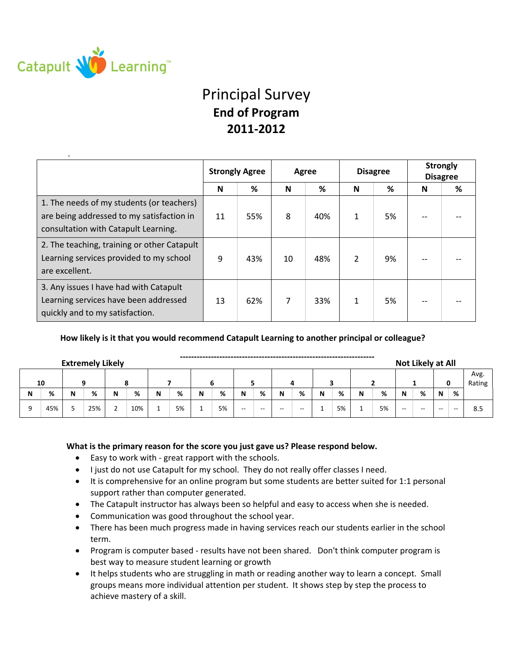

.

# Principal Survey **End of Program 2011‐2012**

|                                                                                                                                | <b>Strongly Agree</b> |     |    | Agree |   | <b>Disagree</b> | <b>Strongly</b><br><b>Disagree</b> |   |  |
|--------------------------------------------------------------------------------------------------------------------------------|-----------------------|-----|----|-------|---|-----------------|------------------------------------|---|--|
|                                                                                                                                | N                     | %   | N  | %     | N | %               | N                                  | % |  |
| 1. The needs of my students (or teachers)<br>are being addressed to my satisfaction in<br>consultation with Catapult Learning. | 11                    | 55% | 8  | 40%   | 1 | 5%              |                                    |   |  |
| 2. The teaching, training or other Catapult<br>Learning services provided to my school<br>are excellent.                       | 9                     | 43% | 10 | 48%   |   | 9%              |                                    |   |  |
| 3. Any issues I have had with Catapult<br>Learning services have been addressed<br>quickly and to my satisfaction.             | 13                    | 62% | 7  | 33%   | 1 | 5%              |                                    |   |  |

**How likely is it that you would recommend Catapult Learning to another principal or colleague?**

| Not Likely at All<br><b>Extremely Likely</b> |     |                          |     |   |     |   |    |   |    |                          |       |                          |                          |          |    |                |    |       |       |       |       |     |
|----------------------------------------------|-----|--------------------------|-----|---|-----|---|----|---|----|--------------------------|-------|--------------------------|--------------------------|----------|----|----------------|----|-------|-------|-------|-------|-----|
|                                              | 10  |                          |     |   |     |   |    |   |    |                          |       |                          |                          |          |    | Avg.<br>Rating |    |       |       |       |       |     |
| N                                            | %   | N                        | %   | N | %   | N | %  | N | %  | N                        | %     | N                        | %                        | N        | %  | N              | %  | N     | %     | N     | %     |     |
|                                              | 45% | $\overline{\phantom{a}}$ | 25% |   | 10% |   | 5% |   | 5% | $\overline{\phantom{m}}$ | $- -$ | $\overline{\phantom{m}}$ | $\overline{\phantom{a}}$ | <b>.</b> | 5% |                | 5% | $- -$ | $- -$ | $- -$ | $- -$ | 8.5 |

### **What is the primary reason for the score you just gave us? Please respond below.**

- Easy to work with great rapport with the schools.
- I just do not use Catapult for my school. They do not really offer classes I need.
- It is comprehensive for an online program but some students are better suited for 1:1 personal support rather than computer generated.
- The Catapult instructor has always been so helpful and easy to access when she is needed.
- Communication was good throughout the school year.
- There has been much progress made in having services reach our students earlier in the school term.
- Program is computer based results have not been shared. Don't think computer program is best way to measure student learning or growth
- It helps students who are struggling in math or reading another way to learn a concept. Small groups means more individual attention per student. It shows step by step the process to achieve mastery of a skill.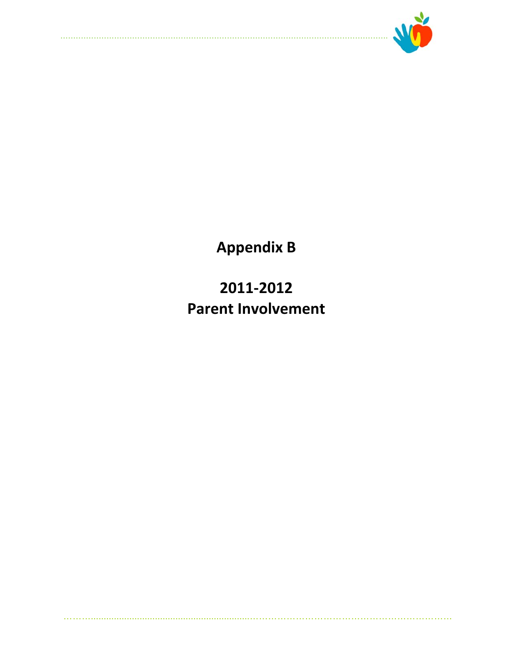

**Appendix B** 

2011-2012 **Parent Involvement**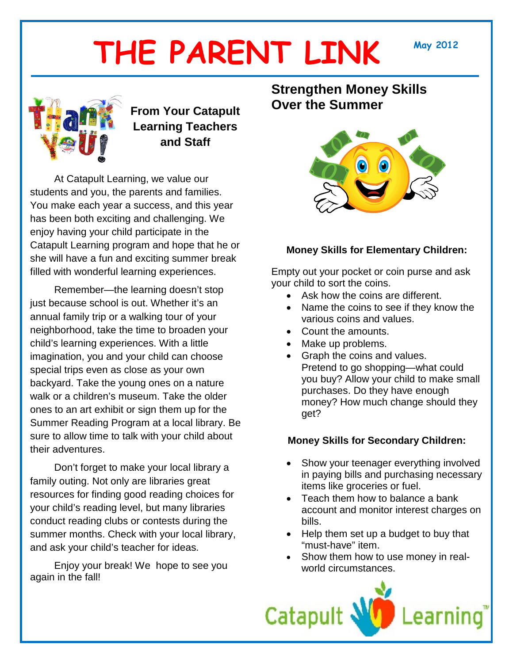# **THE PARENT LINK May <sup>2012</sup>**



# **From Your Catapult Learning Teachers and Staff**

At Catapult Learning, we value our students and you, the parents and families. You make each year a success, and this year has been both exciting and challenging. We enjoy having your child participate in the Catapult Learning program and hope that he or she will have a fun and exciting summer break filled with wonderful learning experiences.

Remember—the learning doesn't stop just because school is out. Whether it's an annual family trip or a walking tour of your neighborhood, take the time to broaden your child's learning experiences. With a little imagination, you and your child can choose special trips even as close as your own backyard. Take the young ones on a nature walk or a children's museum. Take the older ones to an art exhibit or sign them up for the Summer Reading Program at a local library. Be sure to allow time to talk with your child about their adventures.

Don't forget to make your local library a family outing. Not only are libraries great resources for finding good reading choices for your child's reading level, but many libraries conduct reading clubs or contests during the summer months. Check with your local library, and ask your child's teacher for ideas.

Enjoy your break! We hope to see you again in the fall!

## **Strengthen Money Skills Over the Summer**



### **Money Skills for Elementary Children:**

Empty out your pocket or coin purse and ask your child to sort the coins.

- Ask how the coins are different.
- Name the coins to see if they know the various coins and values.
- Count the amounts.
- Make up problems.
- Graph the coins and values. Pretend to go shopping—what could you buy? Allow your child to make small purchases. Do they have enough money? How much change should they get?

### **Money Skills for Secondary Children:**

- Show your teenager everything involved in paying bills and purchasing necessary items like groceries or fuel.
- Teach them how to balance a bank account and monitor interest charges on bills.
- Help them set up a budget to buy that "must-have" item.
- Show them how to use money in realworld circumstances.

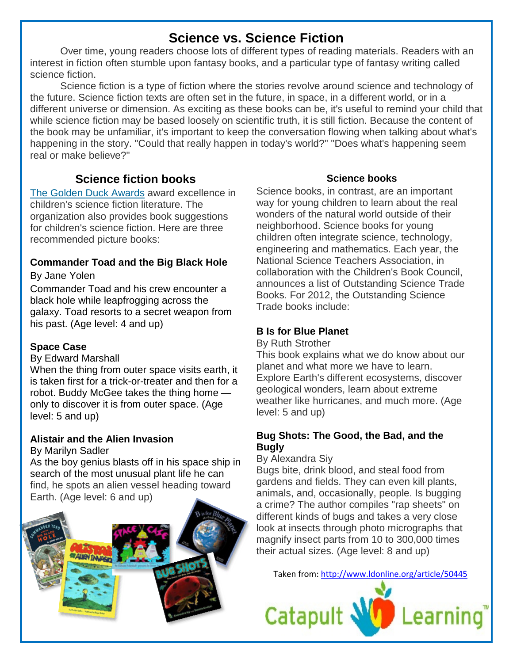# **Science vs. Science Fiction**

Over time, young readers choose lots of different types of reading materials. Readers with an interest in fiction often stumble upon fantasy books, and a particular type of fantasy writing called science fiction.

Science fiction is a type of fiction where the stories revolve around science and technology of the future. Science fiction texts are often set in the future, in space, in a different world, or in a different universe or dimension. As exciting as these books can be, it's useful to remind your child that while science fiction may be based loosely on scientific truth, it is still fiction. Because the content of the book may be unfamiliar, it's important to keep the conversation flowing when talking about what's happening in the story. "Could that really happen in today's world?" "Does what's happening seem real or make believe?"

## **Science fiction books**

[The Golden Duck Awards](http://www.goldenduck.org/books.php) award excellence in children's science fiction literature. The organization also provides book suggestions for children's science fiction. Here are three recommended picture books:

### **Commander Toad and the Big Black Hole** By Jane Yolen

Commander Toad and his crew encounter a black hole while leapfrogging across the galaxy. Toad resorts to a secret weapon from his past. (Age level: 4 and up)

### **Space Case**

### By Edward Marshall

When the thing from outer space visits earth, it is taken first for a trick-or-treater and then for a robot. Buddy McGee takes the thing home only to discover it is from outer space. (Age level: 5 and up)

# **Alistair and the Alien Invasion**

### By Marilyn Sadler

As the boy genius blasts off in his space ship in search of the most unusual plant life he can find, he spots an alien vessel heading toward Earth. (Age level: 6 and up)



### **Science books**

Science books, in contrast, are an important way for young children to learn about the real wonders of the natural world outside of their neighborhood. Science books for young children often integrate science, technology, engineering and mathematics. Each year, the National Science Teachers Association, in collaboration with the Children's Book Council, announces a list of Outstanding Science Trade Books. For 2012, the Outstanding Science Trade books include:

### **B Is for Blue Planet**

By Ruth Strother

This book explains what we do know about our planet and what more we have to learn. Explore Earth's different ecosystems, discover geological wonders, learn about extreme weather like hurricanes, and much more. (Age level: 5 and up)

### **Bug Shots: The Good, the Bad, and the Bugly**

By Alexandra Siy

Bugs bite, drink blood, and steal food from gardens and fields. They can even kill plants, animals, and, occasionally, people. Is bugging a crime? The author compiles "rap sheets" on different kinds of bugs and takes a very close look at insects through photo micrographs that magnify insect parts from 10 to 300,000 times their actual sizes. (Age level: 8 and up)

Taken from:<http://www.ldonline.org/article/50445>

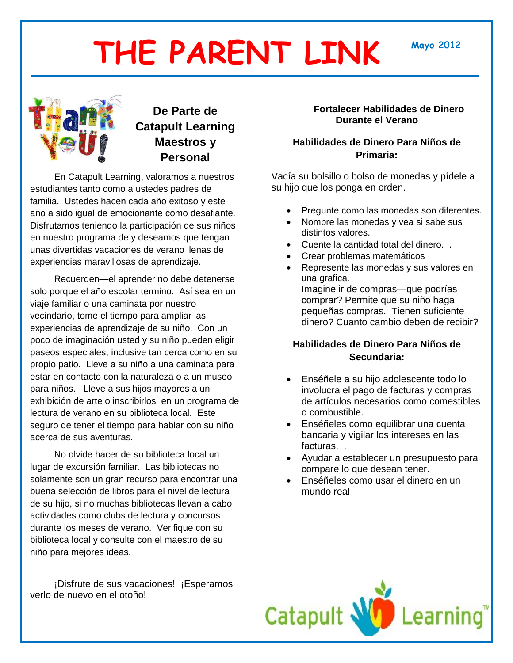# **THE PARENT LINK Mayo <sup>2012</sup>**



# **De Parte de Catapult Learning Maestros y Personal**

En Catapult Learning, valoramos a nuestros estudiantes tanto como a ustedes padres de familia. Ustedes hacen cada año exitoso y este ano a sido igual de emocionante como desafiante. Disfrutamos teniendo la participación de sus niños en nuestro programa de y deseamos que tengan unas divertidas vacaciones de verano llenas de experiencias maravillosas de aprendizaje.

Recuerden—el aprender no debe detenerse solo porque el año escolar termino. Así sea en un viaje familiar o una caminata por nuestro vecindario, tome el tiempo para ampliar las experiencias de aprendizaje de su niño. Con un poco de imaginación usted y su niño pueden eligir paseos especiales, inclusive tan cerca como en su propio patio. Lleve a su niño a una caminata para estar en contacto con la naturaleza o a un museo para niños. Lleve a sus hijos mayores a un exhibición de arte o inscribirlos en un programa de lectura de verano en su biblioteca local. Este seguro de tener el tiempo para hablar con su niño acerca de sus aventuras.

No olvide hacer de su biblioteca local un lugar de excursión familiar. Las bibliotecas no solamente son un gran recurso para encontrar una buena selección de libros para el nivel de lectura de su hijo, si no muchas bibliotecas llevan a cabo actividades como clubs de lectura y concursos durante los meses de verano. Verifique con su biblioteca local y consulte con el maestro de su niño para mejores ideas.

¡Disfrute de sus vacaciones! ¡Esperamos verlo de nuevo en el otoño!

### **Fortalecer Habilidades de Dinero Durante el Verano**

### **Habilidades de Dinero Para Niños de Primaria:**

Vacía su bolsillo o bolso de monedas y pídele a su hijo que los ponga en orden.

- Pregunte como las monedas son diferentes.
- Nombre las monedas y vea si sabe sus distintos valores.
- Cuente la cantidad total del dinero. .
- Crear problemas matemáticos
- Represente las monedas y sus valores en una grafica. Imagine ir de compras—que podrías comprar? Permite que su niño haga pequeñas compras. Tienen suficiente dinero? Cuanto cambio deben de recibir?

### **Habilidades de Dinero Para Niños de Secundaria:**

- Enséñele a su hijo adolescente todo lo involucra el pago de facturas y compras de artículos necesarios como comestibles o combustible.
- Enséñeles como equilibrar una cuenta bancaria y vigilar los intereses en las facturas. .
- Ayudar a establecer un presupuesto para compare lo que desean tener.
- Enséñeles como usar el dinero en un mundo real